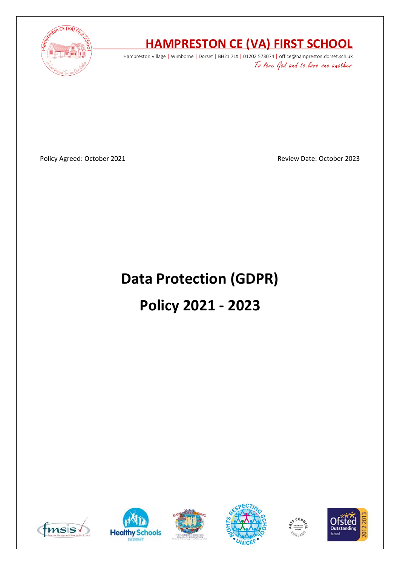

# **HAMPRESTON CE (VA) FIRST SCHOOL**

Hampreston Village | Wimborne | Dorset | BH21 7LX | 01202 573074 | office@hampreston.dorset.sch.uk To love God and to love one another

Policy Agreed: October 2021 **Policy Agreed: October 2023** 

# **Data Protection (GDPR) Policy 2021 - 2023**











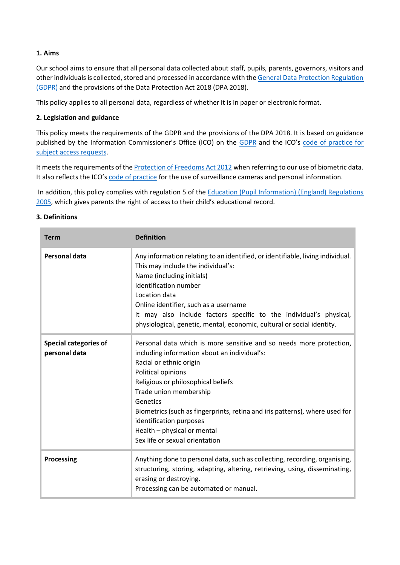# **1. Aims**

Our school aims to ensure that all personal data collected about staff, pupils, parents, governors, visitors and other individuals is collected, stored and processed in accordance with the [General Data Protection Regulation](http://data.consilium.europa.eu/doc/document/ST-5419-2016-INIT/en/pdf)  [\(GDPR\)](http://data.consilium.europa.eu/doc/document/ST-5419-2016-INIT/en/pdf) and the provisions of the Data Protection Act 2018 (DPA 2018).

This policy applies to all personal data, regardless of whether it is in paper or electronic format.

# **2. Legislation and guidance**

This policy meets the requirements of the GDPR and the provisions of the DPA 2018. It is based on guidance published by the Information Commissioner's Office (ICO) on the [GDPR](https://ico.org.uk/for-organisations/guide-to-the-general-data-protection-regulation-gdpr/) and the ICO's code of practice for [subject access requests.](https://ico.org.uk/media/for-organisations/documents/2014223/subject-access-code-of-practice.pdf)

It meets the requirements of the [Protection of Freedoms Act 2012](https://www.legislation.gov.uk/ukpga/2012/9/part/1/chapter/2) when referring to our use of biometric data. It also reflects the ICO's [code of practice](https://ico.org.uk/media/for-organisations/documents/1542/cctv-code-of-practice.pdf) for the use of surveillance cameras and personal information.

In addition, this policy complies with regulation 5 of the Education (Pupil Information) (England) Regulations 2005, which gives parents the right of access to their child's educational record.

#### **3. Definitions**

| <b>Term</b>                                   | <b>Definition</b>                                                                                                                                                                                                                                                                                                                                                                                                           |
|-----------------------------------------------|-----------------------------------------------------------------------------------------------------------------------------------------------------------------------------------------------------------------------------------------------------------------------------------------------------------------------------------------------------------------------------------------------------------------------------|
| <b>Personal data</b>                          | Any information relating to an identified, or identifiable, living individual.<br>This may include the individual's:<br>Name (including initials)<br>Identification number<br>Location data<br>Online identifier, such as a username<br>It may also include factors specific to the individual's physical,<br>physiological, genetic, mental, economic, cultural or social identity.                                        |
| <b>Special categories of</b><br>personal data | Personal data which is more sensitive and so needs more protection,<br>including information about an individual's:<br>Racial or ethnic origin<br>Political opinions<br>Religious or philosophical beliefs<br>Trade union membership<br>Genetics<br>Biometrics (such as fingerprints, retina and iris patterns), where used for<br>identification purposes<br>Health - physical or mental<br>Sex life or sexual orientation |
| <b>Processing</b>                             | Anything done to personal data, such as collecting, recording, organising,<br>structuring, storing, adapting, altering, retrieving, using, disseminating,<br>erasing or destroying.<br>Processing can be automated or manual.                                                                                                                                                                                               |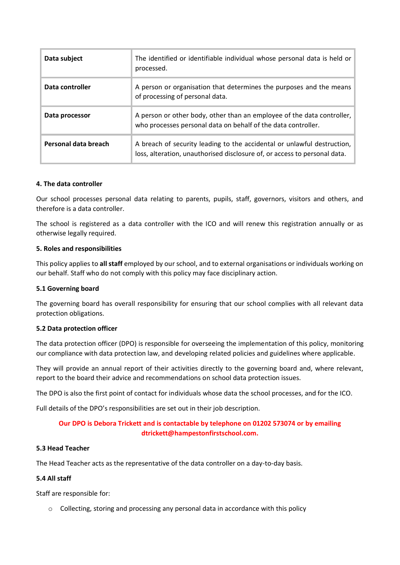| Data subject         | The identified or identifiable individual whose personal data is held or<br>processed.                                                               |
|----------------------|------------------------------------------------------------------------------------------------------------------------------------------------------|
| Data controller      | A person or organisation that determines the purposes and the means<br>of processing of personal data.                                               |
| Data processor       | A person or other body, other than an employee of the data controller,<br>who processes personal data on behalf of the data controller.              |
| Personal data breach | A breach of security leading to the accidental or unlawful destruction,<br>loss, alteration, unauthorised disclosure of, or access to personal data. |

#### **4. The data controller**

Our school processes personal data relating to parents, pupils, staff, governors, visitors and others, and therefore is a data controller.

The school is registered as a data controller with the ICO and will renew this registration annually or as otherwise legally required.

#### **5. Roles and responsibilities**

This policy applies to **all staff** employed by our school, and to external organisations or individuals working on our behalf. Staff who do not comply with this policy may face disciplinary action.

#### **5.1 Governing board**

The governing board has overall responsibility for ensuring that our school complies with all relevant data protection obligations.

#### **5.2 Data protection officer**

The data protection officer (DPO) is responsible for overseeing the implementation of this policy, monitoring our compliance with data protection law, and developing related policies and guidelines where applicable.

They will provide an annual report of their activities directly to the governing board and, where relevant, report to the board their advice and recommendations on school data protection issues.

The DPO is also the first point of contact for individuals whose data the school processes, and for the ICO.

Full details of the DPO's responsibilities are set out in their job description.

# **Our DPO is Debora Trickett and is contactable by telephone on 01202 573074 or by emailing dtrickett@hampestonfirstschool.com.**

#### **5.3 Head Teacher**

The Head Teacher acts as the representative of the data controller on a day-to-day basis.

#### **5.4 All staff**

Staff are responsible for:

o Collecting, storing and processing any personal data in accordance with this policy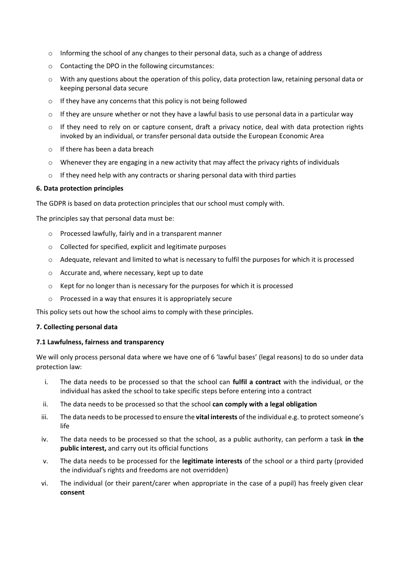- $\circ$  Informing the school of any changes to their personal data, such as a change of address
- o Contacting the DPO in the following circumstances:
- $\circ$  With any questions about the operation of this policy, data protection law, retaining personal data or keeping personal data secure
- o If they have any concerns that this policy is not being followed
- $\circ$  If they are unsure whether or not they have a lawful basis to use personal data in a particular way
- o If they need to rely on or capture consent, draft a privacy notice, deal with data protection rights invoked by an individual, or transfer personal data outside the European Economic Area
- o If there has been a data breach
- $\circ$  Whenever they are engaging in a new activity that may affect the privacy rights of individuals
- o If they need help with any contracts or sharing personal data with third parties

#### **6. Data protection principles**

The GDPR is based on data protection principles that our school must comply with.

The principles say that personal data must be:

- o Processed lawfully, fairly and in a transparent manner
- o Collected for specified, explicit and legitimate purposes
- o Adequate, relevant and limited to what is necessary to fulfil the purposes for which it is processed
- o Accurate and, where necessary, kept up to date
- $\circ$  Kept for no longer than is necessary for the purposes for which it is processed
- o Processed in a way that ensures it is appropriately secure

This policy sets out how the school aims to comply with these principles.

#### **7. Collecting personal data**

#### **7.1 Lawfulness, fairness and transparency**

We will only process personal data where we have one of 6 'lawful bases' (legal reasons) to do so under data protection law:

- i. The data needs to be processed so that the school can **fulfil a contract** with the individual, or the individual has asked the school to take specific steps before entering into a contract
- ii. The data needs to be processed so that the school **can comply with a legal obligation**
- iii. The data needs to be processed to ensure the **vital interests** of the individual e.g. to protect someone's life
- iv. The data needs to be processed so that the school, as a public authority, can perform a task **in the public interest,** and carry out its official functions
- v. The data needs to be processed for the **legitimate interests** of the school or a third party (provided the individual's rights and freedoms are not overridden)
- vi. The individual (or their parent/carer when appropriate in the case of a pupil) has freely given clear **consent**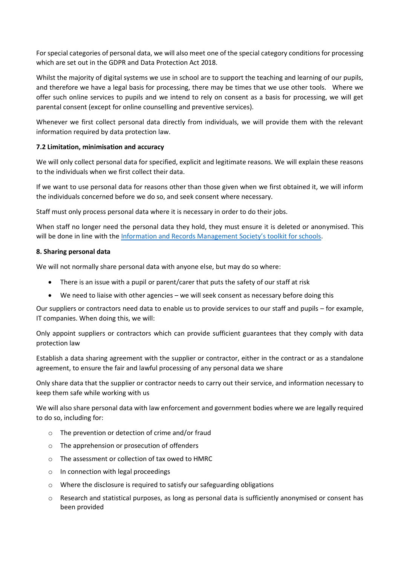For special categories of personal data, we will also meet one of the special category conditions for processing which are set out in the GDPR and Data Protection Act 2018.

Whilst the majority of digital systems we use in school are to support the teaching and learning of our pupils, and therefore we have a legal basis for processing, there may be times that we use other tools. Where we offer such online services to pupils and we intend to rely on consent as a basis for processing, we will get parental consent (except for online counselling and preventive services).

Whenever we first collect personal data directly from individuals, we will provide them with the relevant information required by data protection law.

# **7.2 Limitation, minimisation and accuracy**

We will only collect personal data for specified, explicit and legitimate reasons. We will explain these reasons to the individuals when we first collect their data.

If we want to use personal data for reasons other than those given when we first obtained it, we will inform the individuals concerned before we do so, and seek consent where necessary.

Staff must only process personal data where it is necessary in order to do their jobs.

When staff no longer need the personal data they hold, they must ensure it is deleted or anonymised. This will be done in line with the [Information and Records Management Society's toolkit for schools](http://irms.org.uk/?page=schoolstoolkit&terms=%22toolkit+and+schools%22).

# **8. Sharing personal data**

We will not normally share personal data with anyone else, but may do so where:

- There is an issue with a pupil or parent/carer that puts the safety of our staff at risk
- We need to liaise with other agencies we will seek consent as necessary before doing this

Our suppliers or contractors need data to enable us to provide services to our staff and pupils – for example, IT companies. When doing this, we will:

Only appoint suppliers or contractors which can provide sufficient guarantees that they comply with data protection law

Establish a data sharing agreement with the supplier or contractor, either in the contract or as a standalone agreement, to ensure the fair and lawful processing of any personal data we share

Only share data that the supplier or contractor needs to carry out their service, and information necessary to keep them safe while working with us

We will also share personal data with law enforcement and government bodies where we are legally required to do so, including for:

- o The prevention or detection of crime and/or fraud
- o The apprehension or prosecution of offenders
- o The assessment or collection of tax owed to HMRC
- o In connection with legal proceedings
- o Where the disclosure is required to satisfy our safeguarding obligations
- $\circ$  Research and statistical purposes, as long as personal data is sufficiently anonymised or consent has been provided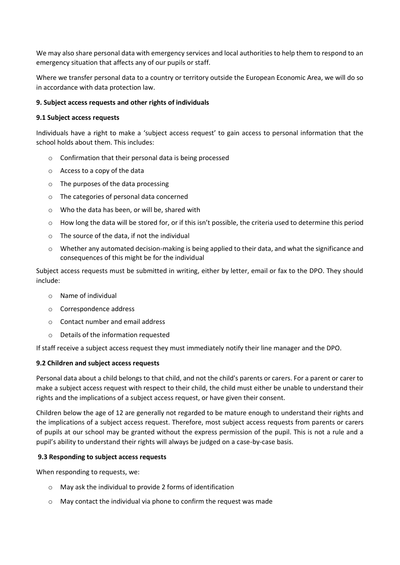We may also share personal data with emergency services and local authorities to help them to respond to an emergency situation that affects any of our pupils or staff.

Where we transfer personal data to a country or territory outside the European Economic Area, we will do so in accordance with data protection law.

# **9. Subject access requests and other rights of individuals**

#### **9.1 Subject access requests**

Individuals have a right to make a 'subject access request' to gain access to personal information that the school holds about them. This includes:

- o Confirmation that their personal data is being processed
- o Access to a copy of the data
- o The purposes of the data processing
- o The categories of personal data concerned
- o Who the data has been, or will be, shared with
- o How long the data will be stored for, or if this isn't possible, the criteria used to determine this period
- o The source of the data, if not the individual
- $\circ$  Whether any automated decision-making is being applied to their data, and what the significance and consequences of this might be for the individual

Subject access requests must be submitted in writing, either by letter, email or fax to the DPO. They should include:

- o Name of individual
- o Correspondence address
- o Contact number and email address
- o Details of the information requested

If staff receive a subject access request they must immediately notify their line manager and the DPO.

#### **9.2 Children and subject access requests**

Personal data about a child belongs to that child, and not the child's parents or carers. For a parent or carer to make a subject access request with respect to their child, the child must either be unable to understand their rights and the implications of a subject access request, or have given their consent.

Children below the age of 12 are generally not regarded to be mature enough to understand their rights and the implications of a subject access request. Therefore, most subject access requests from parents or carers of pupils at our school may be granted without the express permission of the pupil. This is not a rule and a pupil's ability to understand their rights will always be judged on a case-by-case basis.

#### **9.3 Responding to subject access requests**

When responding to requests, we:

- o May ask the individual to provide 2 forms of identification
- o May contact the individual via phone to confirm the request was made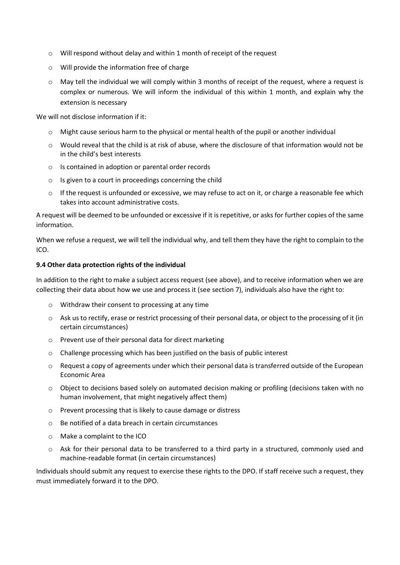- o Will respond without delay and within 1 month of receipt of the request
- o Will provide the information free of charge
- $\circ$  May tell the individual we will comply within 3 months of receipt of the request, where a request is complex or numerous. We will inform the individual of this within 1 month, and explain why the extension is necessary

We will not disclose information if it:

- $\circ$  Might cause serious harm to the physical or mental health of the pupil or another individual
- $\circ$  Would reveal that the child is at risk of abuse, where the disclosure of that information would not be in the child's best interests
- o Is contained in adoption or parental order records
- $\circ$  Is given to a court in proceedings concerning the child
- $\circ$  If the request is unfounded or excessive, we may refuse to act on it, or charge a reasonable fee which takes into account administrative costs.

A request will be deemed to be unfounded or excessive if it is repetitive, or asks for further copies of the same information.

When we refuse a request, we will tell the individual why, and tell them they have the right to complain to the ICO.

#### **9.4 Other data protection rights of the individual**

In addition to the right to make a subject access request (see above), and to receive information when we are collecting their data about how we use and process it (see section 7), individuals also have the right to:

- o Withdraw their consent to processing at any time
- $\circ$  Ask us to rectify, erase or restrict processing of their personal data, or object to the processing of it (in certain circumstances)
- o Prevent use of their personal data for direct marketing
- o Challenge processing which has been justified on the basis of public interest
- o Request a copy of agreements under which their personal data is transferred outside of the European Economic Area
- o Object to decisions based solely on automated decision making or profiling (decisions taken with no human involvement, that might negatively affect them)
- o Prevent processing that is likely to cause damage or distress
- o Be notified of a data breach in certain circumstances
- o Make a complaint to the ICO
- o Ask for their personal data to be transferred to a third party in a structured, commonly used and machine-readable format (in certain circumstances)

Individuals should submit any request to exercise these rights to the DPO. If staff receive such a request, they must immediately forward it to the DPO.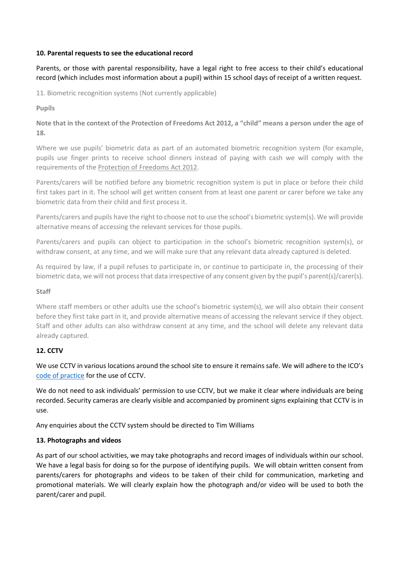# **10. Parental requests to see the educational record**

Parents, or those with parental responsibility, have a legal right to free access to their child's educational record (which includes most information about a pupil) within 15 school days of receipt of a written request.

11. Biometric recognition systems (Not currently applicable)

**Pupils**

**Note that in the context of the Protection of Freedoms Act 2012, a "child" means a person under the age of 18.**

Where we use pupils' biometric data as part of an automated biometric recognition system (for example, pupils use finger prints to receive school dinners instead of paying with cash we will comply with the requirements of the Protection of [Freedoms Act 2012.](https://www.legislation.gov.uk/ukpga/2012/9/section/26)

Parents/carers will be notified before any biometric recognition system is put in place or before their child first takes part in it. The school will get written consent from at least one parent or carer before we take any biometric data from their child and first process it.

Parents/carers and pupils have the right to choose not to use the school's biometric system(s). We will provide alternative means of accessing the relevant services for those pupils.

Parents/carers and pupils can object to participation in the school's biometric recognition system(s), or withdraw consent, at any time, and we will make sure that any relevant data already captured is deleted.

As required by law, if a pupil refuses to participate in, or continue to participate in, the processing of their biometric data, we will not process that data irrespective of any consent given by the pupil's parent(s)/carer(s).

#### **Staff**

Where staff members or other adults use the school's biometric system(s), we will also obtain their consent before they first take part in it, and provide alternative means of accessing the relevant service if they object. Staff and other adults can also withdraw consent at any time, and the school will delete any relevant data already captured.

# **12. CCTV**

We use CCTV in various locations around the school site to ensure it remains safe. We will adhere to the ICO's [code of practice](https://ico.org.uk/media/for-organisations/documents/1542/cctv-code-of-practice.pdf) for the use of CCTV.

We do not need to ask individuals' permission to use CCTV, but we make it clear where individuals are being recorded. Security cameras are clearly visible and accompanied by prominent signs explaining that CCTV is in use.

Any enquiries about the CCTV system should be directed to Tim Williams

# **13. Photographs and videos**

As part of our school activities, we may take photographs and record images of individuals within our school. We have a legal basis for doing so for the purpose of identifying pupils. We will obtain written consent from parents/carers for photographs and videos to be taken of their child for communication, marketing and promotional materials. We will clearly explain how the photograph and/or video will be used to both the parent/carer and pupil.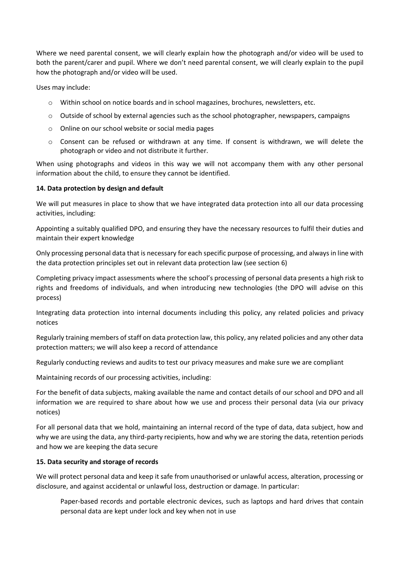Where we need parental consent, we will clearly explain how the photograph and/or video will be used to both the parent/carer and pupil. Where we don't need parental consent, we will clearly explain to the pupil how the photograph and/or video will be used.

Uses may include:

- o Within school on notice boards and in school magazines, brochures, newsletters, etc.
- $\circ$  Outside of school by external agencies such as the school photographer, newspapers, campaigns
- o Online on our school website or social media pages
- o Consent can be refused or withdrawn at any time. If consent is withdrawn, we will delete the photograph or video and not distribute it further.

When using photographs and videos in this way we will not accompany them with any other personal information about the child, to ensure they cannot be identified.

# **14. Data protection by design and default**

We will put measures in place to show that we have integrated data protection into all our data processing activities, including:

Appointing a suitably qualified DPO, and ensuring they have the necessary resources to fulfil their duties and maintain their expert knowledge

Only processing personal data that is necessary for each specific purpose of processing, and always in line with the data protection principles set out in relevant data protection law (see section 6)

Completing privacy impact assessments where the school's processing of personal data presents a high risk to rights and freedoms of individuals, and when introducing new technologies (the DPO will advise on this process)

Integrating data protection into internal documents including this policy, any related policies and privacy notices

Regularly training members of staff on data protection law, this policy, any related policies and any other data protection matters; we will also keep a record of attendance

Regularly conducting reviews and audits to test our privacy measures and make sure we are compliant

Maintaining records of our processing activities, including:

For the benefit of data subjects, making available the name and contact details of our school and DPO and all information we are required to share about how we use and process their personal data (via our privacy notices)

For all personal data that we hold, maintaining an internal record of the type of data, data subject, how and why we are using the data, any third-party recipients, how and why we are storing the data, retention periods and how we are keeping the data secure

#### **15. Data security and storage of records**

We will protect personal data and keep it safe from unauthorised or unlawful access, alteration, processing or disclosure, and against accidental or unlawful loss, destruction or damage. In particular:

Paper-based records and portable electronic devices, such as laptops and hard drives that contain personal data are kept under lock and key when not in use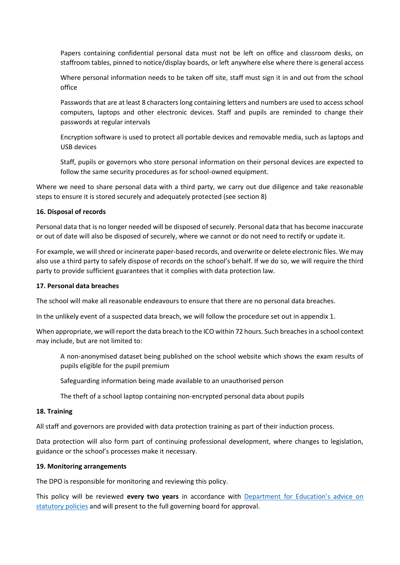Papers containing confidential personal data must not be left on office and classroom desks, on staffroom tables, pinned to notice/display boards, or left anywhere else where there is general access

Where personal information needs to be taken off site, staff must sign it in and out from the school office

Passwords that are at least 8 characters long containing letters and numbers are used to access school computers, laptops and other electronic devices. Staff and pupils are reminded to change their passwords at regular intervals

Encryption software is used to protect all portable devices and removable media, such as laptops and USB devices

Staff, pupils or governors who store personal information on their personal devices are expected to follow the same security procedures as for school-owned equipment.

Where we need to share personal data with a third party, we carry out due diligence and take reasonable steps to ensure it is stored securely and adequately protected (see section 8)

#### **16. Disposal of records**

Personal data that is no longer needed will be disposed of securely. Personal data that has become inaccurate or out of date will also be disposed of securely, where we cannot or do not need to rectify or update it.

For example, we will shred or incinerate paper-based records, and overwrite or delete electronic files. We may also use a third party to safely dispose of records on the school's behalf. If we do so, we will require the third party to provide sufficient guarantees that it complies with data protection law.

#### **17. Personal data breaches**

The school will make all reasonable endeavours to ensure that there are no personal data breaches.

In the unlikely event of a suspected data breach, we will follow the procedure set out in appendix 1.

When appropriate, we will report the data breach to the ICO within 72 hours. Such breaches in a school context may include, but are not limited to:

A non-anonymised dataset being published on the school website which shows the exam results of pupils eligible for the pupil premium

Safeguarding information being made available to an unauthorised person

The theft of a school laptop containing non-encrypted personal data about pupils

#### **18. Training**

All staff and governors are provided with data protection training as part of their induction process.

Data protection will also form part of continuing professional development, where changes to legislation, guidance or the school's processes make it necessary.

#### **19. Monitoring arrangements**

The DPO is responsible for monitoring and reviewing this policy.

This policy will be reviewed **every two years** in accordance with [Department for Education's advice on](https://www.gov.uk/government/publications/statutory-policies-for-schools)  [statutory policies](https://www.gov.uk/government/publications/statutory-policies-for-schools) and will present to the full governing board for approval.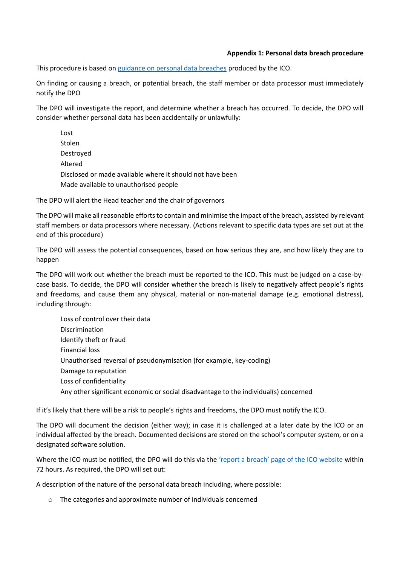# **Appendix 1: Personal data breach procedure**

This procedure is based on [guidance on personal data breaches](https://ico.org.uk/for-organisations/guide-to-the-general-data-protection-regulation-gdpr/personal-data-breaches/) produced by the ICO.

On finding or causing a breach, or potential breach, the staff member or data processor must immediately notify the DPO

The DPO will investigate the report, and determine whether a breach has occurred. To decide, the DPO will consider whether personal data has been accidentally or unlawfully:

Lost Stolen Destroyed Altered Disclosed or made available where it should not have been Made available to unauthorised people

The DPO will alert the Head teacher and the chair of governors

The DPO will make all reasonable efforts to contain and minimise the impact of the breach, assisted by relevant staff members or data processors where necessary. (Actions relevant to specific data types are set out at the end of this procedure)

The DPO will assess the potential consequences, based on how serious they are, and how likely they are to happen

The DPO will work out whether the breach must be reported to the ICO. This must be judged on a case-bycase basis. To decide, the DPO will consider whether the breach is likely to negatively affect people's rights and freedoms, and cause them any physical, material or non-material damage (e.g. emotional distress), including through:

Loss of control over their data Discrimination Identify theft or fraud Financial loss Unauthorised reversal of pseudonymisation (for example, key-coding) Damage to reputation Loss of confidentiality Any other significant economic or social disadvantage to the individual(s) concerned

If it's likely that there will be a risk to people's rights and freedoms, the DPO must notify the ICO.

The DPO will document the decision (either way); in case it is challenged at a later date by the ICO or an individual affected by the breach. Documented decisions are stored on the school's computer system, or on a designated software solution.

Where the ICO must be notified, the DPO will do this via the ['report a breach' page of the ICO website](https://ico.org.uk/for-organisations/report-a-breach/) within 72 hours. As required, the DPO will set out:

A description of the nature of the personal data breach including, where possible:

o The categories and approximate number of individuals concerned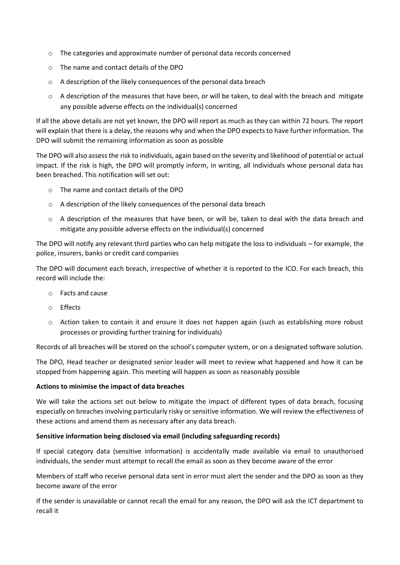- o The categories and approximate number of personal data records concerned
- o The name and contact details of the DPO
- o A description of the likely consequences of the personal data breach
- $\circ$  A description of the measures that have been, or will be taken, to deal with the breach and mitigate any possible adverse effects on the individual(s) concerned

If all the above details are not yet known, the DPO will report as much as they can within 72 hours. The report will explain that there is a delay, the reasons why and when the DPO expects to have further information. The DPO will submit the remaining information as soon as possible

The DPO will also assessthe risk to individuals, again based on the severity and likelihood of potential or actual impact. If the risk is high, the DPO will promptly inform, in writing, all individuals whose personal data has been breached. This notification will set out:

- o The name and contact details of the DPO
- o A description of the likely consequences of the personal data breach
- o A description of the measures that have been, or will be, taken to deal with the data breach and mitigate any possible adverse effects on the individual(s) concerned

The DPO will notify any relevant third parties who can help mitigate the loss to individuals – for example, the police, insurers, banks or credit card companies

The DPO will document each breach, irrespective of whether it is reported to the ICO. For each breach, this record will include the:

- o Facts and cause
- o Effects
- o Action taken to contain it and ensure it does not happen again (such as establishing more robust processes or providing further training for individuals)

Records of all breaches will be stored on the school's computer system, or on a designated software solution.

The DPO, Head teacher or designated senior leader will meet to review what happened and how it can be stopped from happening again. This meeting will happen as soon as reasonably possible

#### **Actions to minimise the impact of data breaches**

We will take the actions set out below to mitigate the impact of different types of data breach, focusing especially on breaches involving particularly risky or sensitive information. We will review the effectiveness of these actions and amend them as necessary after any data breach.

#### **Sensitive information being disclosed via email (including safeguarding records)**

If special category data (sensitive information) is accidentally made available via email to unauthorised individuals, the sender must attempt to recall the email as soon as they become aware of the error

Members of staff who receive personal data sent in error must alert the sender and the DPO as soon as they become aware of the error

If the sender is unavailable or cannot recall the email for any reason, the DPO will ask the ICT department to recall it